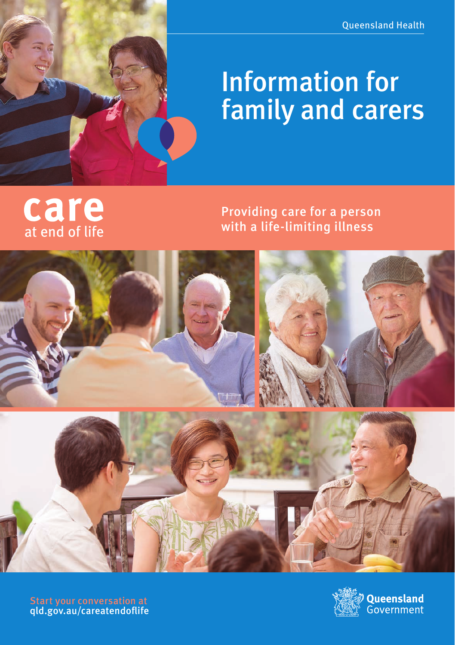Queensland Health



# Information for family and carers

Care

Providing care for a person with a life-limiting illness



qld.gov.au/careatendoflife

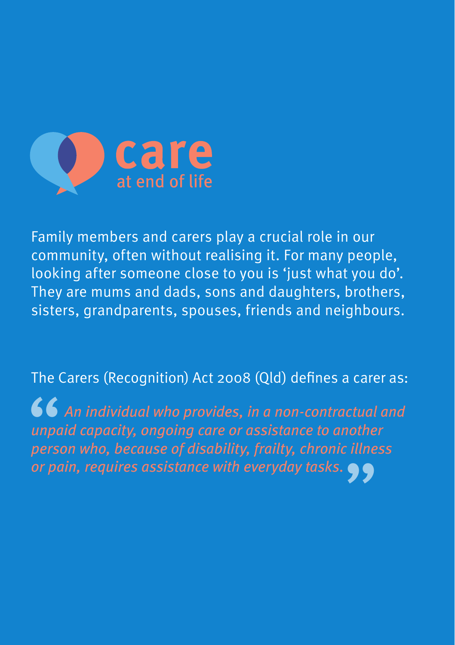

Family members and carers play a crucial role in our community, often without realising it. For many people, looking after someone close to you is 'just what you do'. They are mums and dads, sons and daughters, brothers, sisters, grandparents, spouses, friends and neighbours.

The Carers (Recognition) Act 2008 (Qld) defines a carer as:

*An individual who provides, in a non-contractual and unpaid capacity, ongoing care or assistance to another person who, because of disability, frailty, chronic illness or pain, requires assistance with everyday tasks.* " $\frac{66}{\text{mpa}}$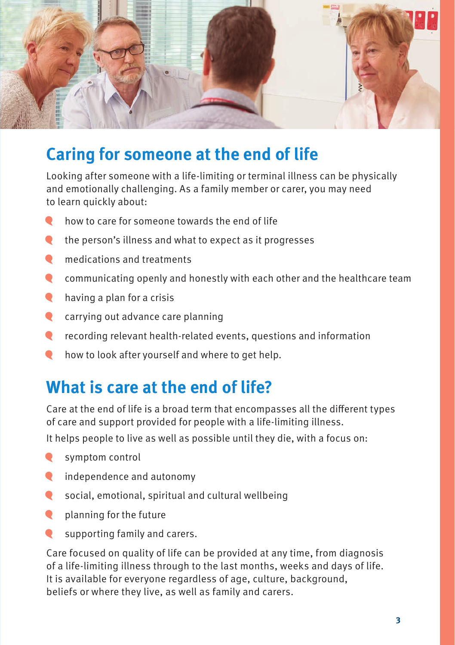

### **Caring for someone at the end of life**

Looking after someone with a life-limiting or terminal illness can be physically and emotionally challenging. As a family member or carer, you may need to learn quickly about:

- how to care for someone towards the end of life  $\bullet$
- $\bullet$ the person's illness and what to expect as it progresses
- $\bullet$ medications and treatments
- $\bullet$ communicating openly and honestly with each other and the healthcare team
- $\bullet$ having a plan for a crisis
- $\bullet$ carrying out advance care planning
- $\bullet$ recording relevant health-related events, questions and information
- how to look after yourself and where to get help.  $\bullet$

### **What is care at the end of life?**

Care at the end of life is a broad term that encompasses all the different types of care and support provided for people with a life-limiting illness.

It helps people to live as well as possible until they die, with a focus on:

- $\bullet$ symptom control
- $\bullet$ independence and autonomy
- social, emotional, spiritual and cultural wellbeing  $\bullet$
- $\bullet$ planning for the future
- supporting family and carers.

Care focused on quality of life can be provided at any time, from diagnosis of a life-limiting illness through to the last months, weeks and days of life. It is available for everyone regardless of age, culture, background, beliefs or where they live, as well as family and carers.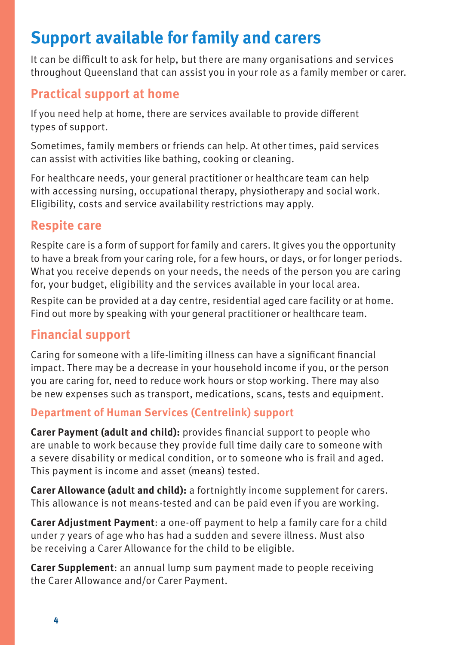### **Support available for family and carers**

It can be difficult to ask for help, but there are many organisations and services throughout Queensland that can assist you in your role as a family member or carer.

### **Practical support at home**

If you need help at home, there are services available to provide different types of support.

Sometimes, family members or friends can help. At other times, paid services can assist with activities like bathing, cooking or cleaning.

For healthcare needs, your general practitioner or healthcare team can help with accessing nursing, occupational therapy, physiotherapy and social work. Eligibility, costs and service availability restrictions may apply.

#### **Respite care**

Respite care is a form of support for family and carers. It gives you the opportunity to have a break from your caring role, for a few hours, or days, or for longer periods. What you receive depends on your needs, the needs of the person you are caring for, your budget, eligibility and the services available in your local area.

Respite can be provided at a day centre, residential aged care facility or at home. Find out more by speaking with your general practitioner or healthcare team.

### **Financial support**

Caring for someone with a life-limiting illness can have a significant financial impact. There may be a decrease in your household income if you, or the person you are caring for, need to reduce work hours or stop working. There may also be new expenses such as transport, medications, scans, tests and equipment.

#### **Department of Human Services (Centrelink) support**

**Carer Payment (adult and child):** provides financial support to people who are unable to work because they provide full time daily care to someone with a severe disability or medical condition, or to someone who is frail and aged. This payment is income and asset (means) tested.

**Carer Allowance (adult and child):** a fortnightly income supplement for carers. This allowance is not means-tested and can be paid even if you are working.

**Carer Adjustment Payment**: a one-off payment to help a family care for a child under 7 years of age who has had a sudden and severe illness. Must also be receiving a Carer Allowance for the child to be eligible.

**Carer Supplement**: an annual lump sum payment made to people receiving the Carer Allowance and/or Carer Payment.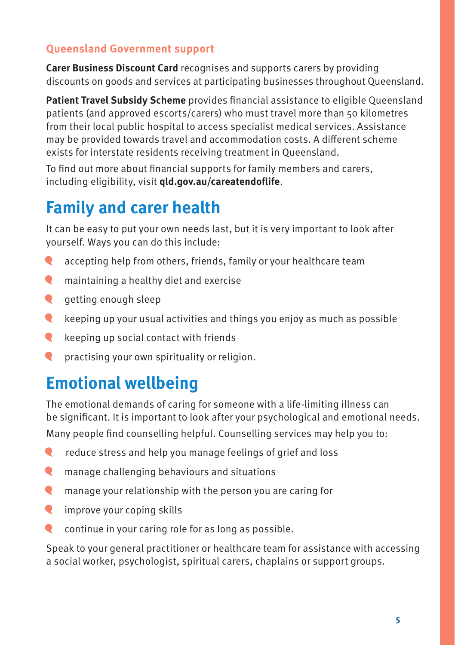#### **Queensland Government support**

**Carer Business Discount Card** recognises and supports carers by providing discounts on goods and services at participating businesses throughout Queensland.

**Patient Travel Subsidy Scheme** provides financial assistance to eligible Queensland patients (and approved escorts/carers) who must travel more than 50 kilometres from their local public hospital to access specialist medical services. Assistance may be provided towards travel and accommodation costs. A different scheme exists for interstate residents receiving treatment in Queensland.

To find out more about financial supports for family members and carers, including eligibility, visit **qld.gov.au/careatendoflife**.

# **Family and carer health**

It can be easy to put your own needs last, but it is very important to look after yourself. Ways you can do this include:

- $\bullet$ accepting help from others, friends, family or your healthcare team
- $\bullet$ maintaining a healthy diet and exercise
- $\bullet$ getting enough sleep
- $\bullet$ keeping up your usual activities and things you enjoy as much as possible
- $\bullet$ keeping up social contact with friends
- $\bullet$ practising your own spirituality or religion.

### **Emotional wellbeing**

The emotional demands of caring for someone with a life-limiting illness can be significant. It is important to look after your psychological and emotional needs. Many people find counselling helpful. Counselling services may help you to:

- **Q** reduce stress and help you manage feelings of grief and loss
- $\bullet$ manage challenging behaviours and situations
- $\bullet$ manage your relationship with the person you are caring for
- $\bullet$ improve your coping skills
- $\bullet$ continue in your caring role for as long as possible.

Speak to your general practitioner or healthcare team for assistance with accessing a social worker, psychologist, spiritual carers, chaplains or support groups.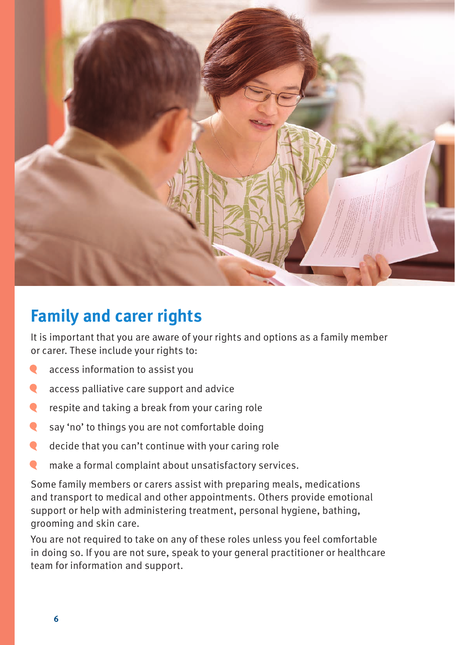

### **Family and carer rights**

It is important that you are aware of your rights and options as a family member or carer. These include your rights to:

- $\bullet$ access information to assist you
- $\bullet$ access palliative care support and advice
- respite and taking a break from your caring role  $\bullet$
- say 'no' to things you are not comfortable doing
- decide that you can't continue with your caring role  $\bullet$
- make a formal complaint about unsatisfactory services.

Some family members or carers assist with preparing meals, medications and transport to medical and other appointments. Others provide emotional support or help with administering treatment, personal hygiene, bathing, grooming and skin care.

You are not required to take on any of these roles unless you feel comfortable in doing so. If you are not sure, speak to your general practitioner or healthcare team for information and support.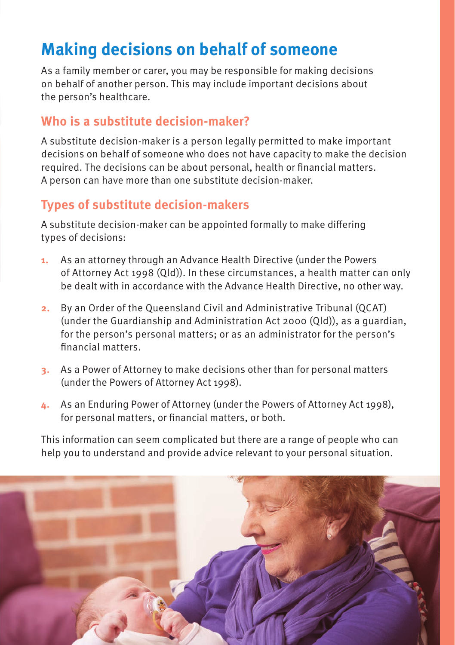## **Making decisions on behalf of someone**

As a family member or carer, you may be responsible for making decisions on behalf of another person. This may include important decisions about the person's healthcare.

#### **Who is a substitute decision-maker?**

A substitute decision-maker is a person legally permitted to make important decisions on behalf of someone who does not have capacity to make the decision required. The decisions can be about personal, health or financial matters. A person can have more than one substitute decision-maker.

### **Types of substitute decision-makers**

A substitute decision-maker can be appointed formally to make differing types of decisions:

- **1.** As an attorney through an Advance Health Directive (under the Powers of Attorney Act 1998 (Qld)). In these circumstances, a health matter can only be dealt with in accordance with the Advance Health Directive, no other way.
- **2.** By an Order of the Queensland Civil and Administrative Tribunal (QCAT) (under the Guardianship and Administration Act 2000 (Qld)), as a guardian, for the person's personal matters; or as an administrator for the person's financial matters.
- **3.** As a Power of Attorney to make decisions other than for personal matters (under the Powers of Attorney Act 1998).
- **4.** As an Enduring Power of Attorney (under the Powers of Attorney Act 1998), for personal matters, or financial matters, or both.

This information can seem complicated but there are a range of people who can help you to understand and provide advice relevant to your personal situation.

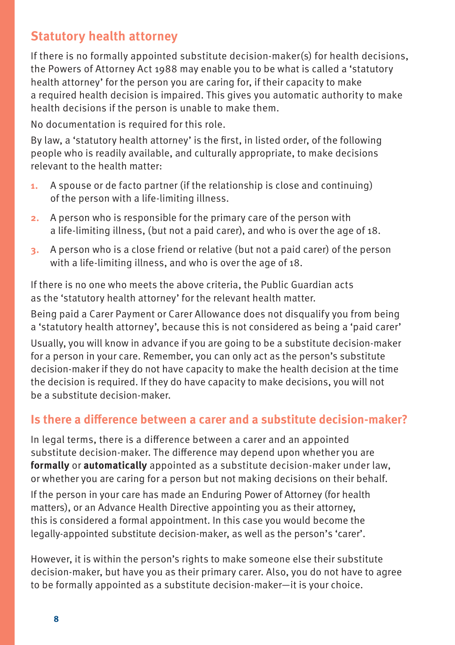### **Statutory health attorney**

If there is no formally appointed substitute decision-maker(s) for health decisions, the Powers of Attorney Act 1988 may enable you to be what is called a 'statutory health attorney' for the person you are caring for, if their capacity to make a required health decision is impaired. This gives you automatic authority to make health decisions if the person is unable to make them.

No documentation is required for this role.

By law, a 'statutory health attorney' is the first, in listed order, of the following people who is readily available, and culturally appropriate, to make decisions relevant to the health matter:

- **1.** A spouse or de facto partner (if the relationship is close and continuing) of the person with a life-limiting illness.
- **2.** A person who is responsible for the primary care of the person with a life-limiting illness, (but not a paid carer), and who is over the age of 18.
- **3.** A person who is a close friend or relative (but not a paid carer) of the person with a life-limiting illness, and who is over the age of 18.

If there is no one who meets the above criteria, the Public Guardian acts as the 'statutory health attorney' for the relevant health matter.

Being paid a Carer Payment or Carer Allowance does not disqualify you from being a 'statutory health attorney', because this is not considered as being a 'paid carer'

Usually, you will know in advance if you are going to be a substitute decision-maker for a person in your care. Remember, you can only act as the person's substitute decision-maker if they do not have capacity to make the health decision at the time the decision is required. If they do have capacity to make decisions, you will not be a substitute decision-maker.

#### **Is there a difference between a carer and a substitute decision-maker?**

In legal terms, there is a difference between a carer and an appointed substitute decision-maker. The difference may depend upon whether you are **formally** or **automatically** appointed as a substitute decision-maker under law, or whether you are caring for a person but not making decisions on their behalf.

If the person in your care has made an Enduring Power of Attorney (for health matters), or an Advance Health Directive appointing you as their attorney, this is considered a formal appointment. In this case you would become the legally-appointed substitute decision-maker, as well as the person's 'carer'.

However, it is within the person's rights to make someone else their substitute decision-maker, but have you as their primary carer. Also, you do not have to agree to be formally appointed as a substitute decision-maker—it is your choice.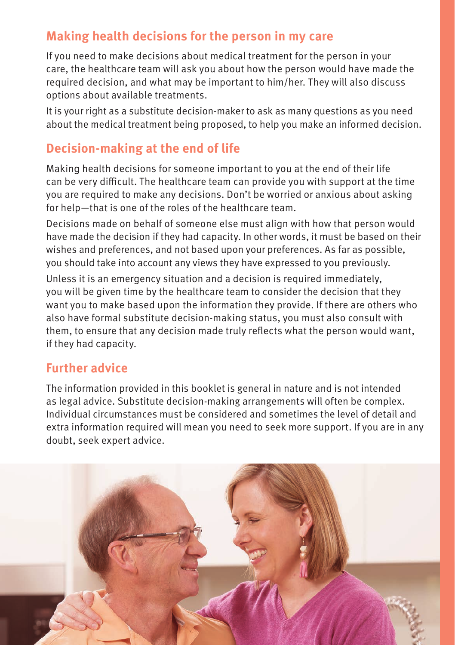### **Making health decisions for the person in my care**

If you need to make decisions about medical treatment for the person in your care, the healthcare team will ask you about how the person would have made the required decision, and what may be important to him/her. They will also discuss options about available treatments.

It is your right as a substitute decision-maker to ask as many questions as you need about the medical treatment being proposed, to help you make an informed decision.

### **Decision-making at the end of life**

Making health decisions for someone important to you at the end of their life can be very difficult. The healthcare team can provide you with support at the time you are required to make any decisions. Don't be worried or anxious about asking for help—that is one of the roles of the healthcare team.

Decisions made on behalf of someone else must align with how that person would have made the decision if they had capacity. In other words, it must be based on their wishes and preferences, and not based upon your preferences. As far as possible, you should take into account any views they have expressed to you previously.

Unless it is an emergency situation and a decision is required immediately, you will be given time by the healthcare team to consider the decision that they want you to make based upon the information they provide. If there are others who also have formal substitute decision-making status, you must also consult with them, to ensure that any decision made truly reflects what the person would want, if they had capacity.

#### **Further advice**

The information provided in this booklet is general in nature and is not intended as legal advice. Substitute decision-making arrangements will often be complex. Individual circumstances must be considered and sometimes the level of detail and extra information required will mean you need to seek more support. If you are in any doubt, seek expert advice.

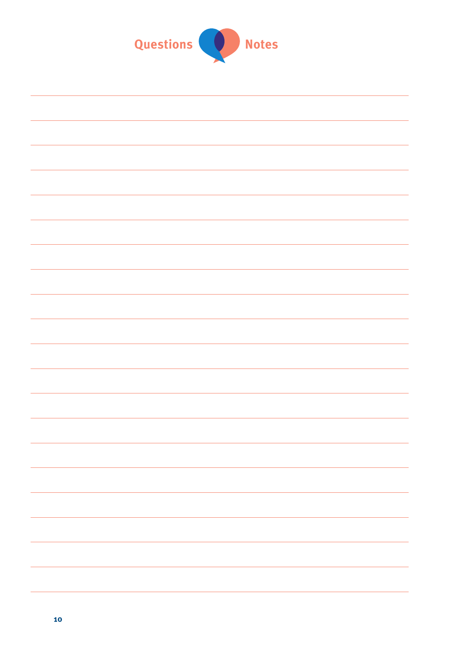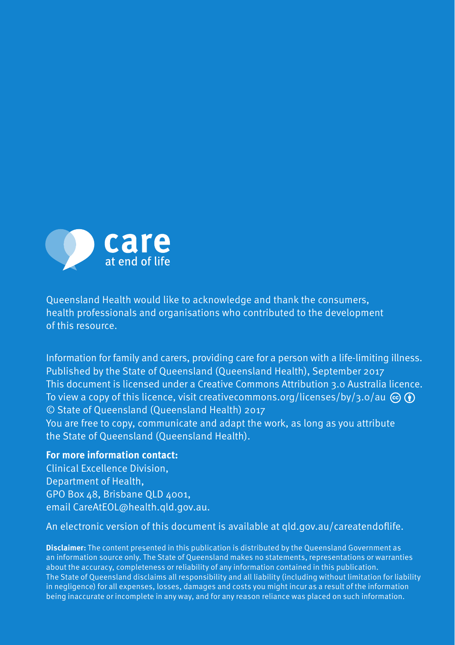

Queensland Health would like to acknowledge and thank the consumers, health professionals and organisations who contributed to the development of this resource.

Information for family and carers, providing care for a person with a life-limiting illness. Published by the State of Queensland (Queensland Health), September 2017 This document is licensed under a Creative Commons Attribution 3.0 Australia licence. To view a copy of this licence, visit creativecommons.org/licenses/by/3.0/au  $\Theta$   $\Theta$ © State of Queensland (Queensland Health) 2017 You are free to copy, communicate and adapt the work, as long as you attribute the State of Queensland (Queensland Health).

#### **For more information contact:**

Clinical Excellence Division, Department of Health, GPO Box 48, Brisbane QLD 4001, email CareAtEOL@health.qld.gov.au.

An electronic version of this document is available at qld.gov.au/careatendoflife.

**Disclaimer:** The content presented in this publication is distributed by the Queensland Government as an information source only. The State of Queensland makes no statements, representations or warranties about the accuracy, completeness or reliability of any information contained in this publication. The State of Queensland disclaims all responsibility and all liability (including without limitation for liability in negligence) for all expenses, losses, damages and costs you might incur as a result of the information being inaccurate or incomplete in any way, and for any reason reliance was placed on such information.